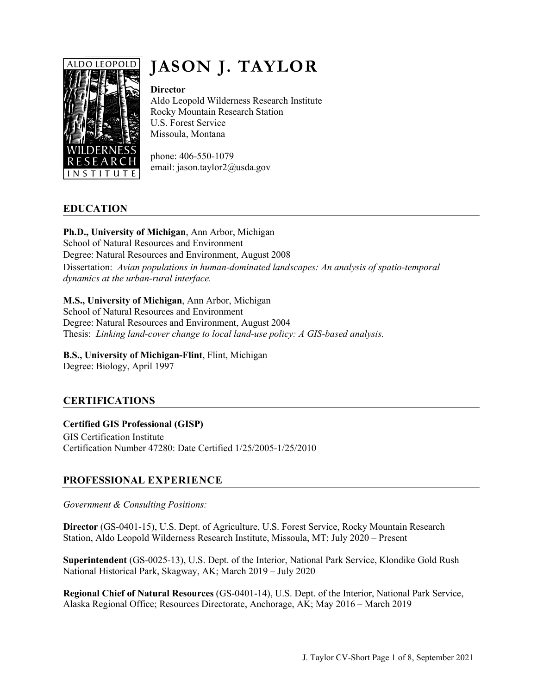

# **JASON J. TAYLOR**

#### **Director**

Aldo Leopold Wilderness Research Institute Rocky Mountain Research Station U.S. Forest Service Missoula, Montana

phone: 406-550-1079 email: jason.taylor2@usda.gov

# **EDUCATION**

**Ph.D., University of Michigan**, Ann Arbor, Michigan School of Natural Resources and Environment Degree: Natural Resources and Environment, August 2008 Dissertation: *Avian populations in human-dominated landscapes: An analysis of spatio-temporal dynamics at the urban-rural interface.*

## **M.S., University of Michigan**, Ann Arbor, Michigan

School of Natural Resources and Environment Degree: Natural Resources and Environment, August 2004 Thesis: *Linking land-cover change to local land-use policy: A GIS-based analysis.*

# **B.S., University of Michigan-Flint**, Flint, Michigan

Degree: Biology, April 1997

# **CERTIFICATIONS**

# **Certified GIS Professional (GISP)**

GIS Certification Institute Certification Number 47280: Date Certified 1/25/2005-1/25/2010

# **PROFESSIONAL EXPERIENCE**

*Government & Consulting Positions:*

**Director** (GS-0401-15), U.S. Dept. of Agriculture, U.S. Forest Service, Rocky Mountain Research Station, Aldo Leopold Wilderness Research Institute, Missoula, MT; July 2020 – Present

**Superintendent** (GS-0025-13), U.S. Dept. of the Interior, National Park Service, Klondike Gold Rush National Historical Park, Skagway, AK; March 2019 – July 2020

**Regional Chief of Natural Resources** (GS-0401-14), U.S. Dept. of the Interior, National Park Service, Alaska Regional Office; Resources Directorate, Anchorage, AK; May 2016 – March 2019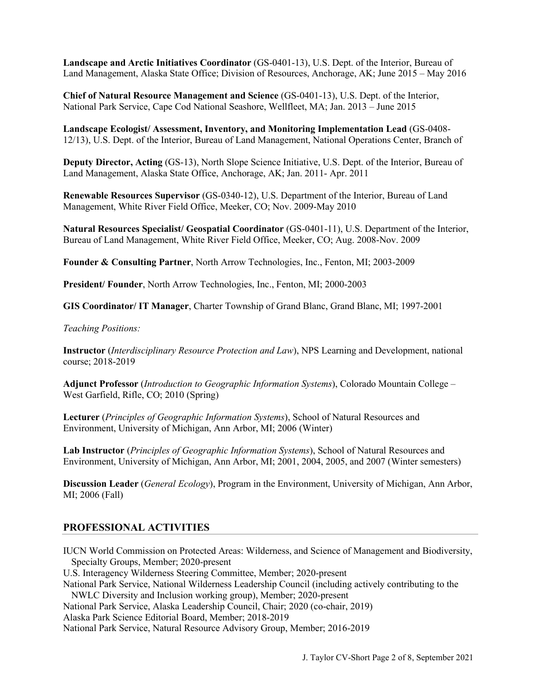**Landscape and Arctic Initiatives Coordinator** (GS-0401-13), U.S. Dept. of the Interior, Bureau of Land Management, Alaska State Office; Division of Resources, Anchorage, AK; June 2015 – May 2016

**Chief of Natural Resource Management and Science** (GS-0401-13), U.S. Dept. of the Interior, National Park Service, Cape Cod National Seashore, Wellfleet, MA; Jan. 2013 – June 2015

**Landscape Ecologist/ Assessment, Inventory, and Monitoring Implementation Lead** (GS-0408- 12/13), U.S. Dept. of the Interior, Bureau of Land Management, National Operations Center, Branch of

**Deputy Director, Acting** (GS-13), North Slope Science Initiative, U.S. Dept. of the Interior, Bureau of Land Management, Alaska State Office, Anchorage, AK; Jan. 2011- Apr. 2011

**Renewable Resources Supervisor** (GS-0340-12), U.S. Department of the Interior, Bureau of Land Management, White River Field Office, Meeker, CO; Nov. 2009-May 2010

**Natural Resources Specialist/ Geospatial Coordinator** (GS-0401-11), U.S. Department of the Interior, Bureau of Land Management, White River Field Office, Meeker, CO; Aug. 2008-Nov. 2009

**Founder & Consulting Partner**, North Arrow Technologies, Inc., Fenton, MI; 2003-2009

**President/ Founder**, North Arrow Technologies, Inc., Fenton, MI; 2000-2003

**GIS Coordinator/ IT Manager**, Charter Township of Grand Blanc, Grand Blanc, MI; 1997-2001

#### *Teaching Positions:*

**Instructor** (*Interdisciplinary Resource Protection and Law*), NPS Learning and Development, national course; 2018-2019

**Adjunct Professor** (*Introduction to Geographic Information Systems*), Colorado Mountain College – West Garfield, Rifle, CO; 2010 (Spring)

**Lecturer** (*Principles of Geographic Information Systems*), School of Natural Resources and Environment, University of Michigan, Ann Arbor, MI; 2006 (Winter)

**Lab Instructor** (*Principles of Geographic Information Systems*), School of Natural Resources and Environment, University of Michigan, Ann Arbor, MI; 2001, 2004, 2005, and 2007 (Winter semesters)

**Discussion Leader** (*General Ecology*), Program in the Environment, University of Michigan, Ann Arbor, MI; 2006 (Fall)

## **PROFESSIONAL ACTIVITIES**

IUCN World Commission on Protected Areas: Wilderness, and Science of Management and Biodiversity, Specialty Groups, Member; 2020-present

U.S. Interagency Wilderness Steering Committee, Member; 2020-present

National Park Service, National Wilderness Leadership Council (including actively contributing to the NWLC Diversity and Inclusion working group), Member; 2020-present

National Park Service, Alaska Leadership Council, Chair; 2020 (co-chair, 2019)

Alaska Park Science Editorial Board, Member; 2018-2019

National Park Service, Natural Resource Advisory Group, Member; 2016-2019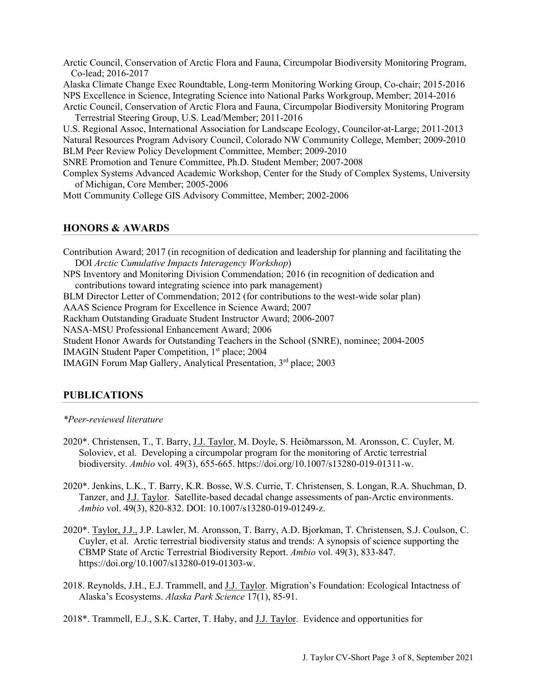Arctic Council, Conservation of Arctic Flora and Fauna, Circumpolar Biodiversity Monitoring Program, Co-lead; 2016-2017

Alaska Climate Change Exec Roundtable, Long-term Monitoring Working Group, Co-chair; 2015-2016 NPS Excellence in Science, Integrating Science into National Parks Workgroup, Member; 2014-2016 Arctic Council, Conservation of Arctic Flora and Fauna, Circumpolar Biodiversity Monitoring Program

Terrestrial Steering Group, U.S. Lead/Member; 2011-2016

U.S. Regional Assoc, International Association for Landscape Ecology, Councilor-at-Large; 2011-2013 Natural Resources Program Advisory Council, Colorado NW Community College, Member; 2009-2010 BLM Peer Review Policy Development Committee, Member; 2009-2010

SNRE Promotion and Tenure Committee, Ph.D. Student Member; 2007-2008

Complex Systems Advanced Academic Workshop, Center for the Study of Complex Systems, University of Michigan, Core Member; 2005-2006

Mott Community College GIS Advisory Committee, Member; 2002-2006

## **HONORS & AWARDS**

Contribution Award; 2017 (in recognition of dedication and leadership for planning and facilitating the DOI *Arctic Cumulative Impacts Interagency Workshop*) NPS Inventory and Monitoring Division Commendation; 2016 (in recognition of dedication and contributions toward integrating science into park management) BLM Director Letter of Commendation; 2012 (for contributions to the west-wide solar plan) AAAS Science Program for Excellence in Science Award; 2007 Rackham Outstanding Graduate Student Instructor Award; 2006-2007 NASA-MSU Professional Enhancement Award; 2006 Student Honor Awards for Outstanding Teachers in the School (SNRE), nominee; 2004-2005 IMAGIN Student Paper Competition, 1<sup>st</sup> place; 2004 IMAGIN Forum Map Gallery, Analytical Presentation, 3<sup>rd</sup> place; 2003

# **PUBLICATIONS**

#### *\*Peer-reviewed literature*

- 2020\*. Christensen, T., T. Barry, J.J. Taylor, M. Doyle, S. Heiðmarsson, M. Aronsson, C. Cuyler, M. Soloviev, et al. Developing a circumpolar program for the monitoring of Arctic terrestrial biodiversity. *Ambio* vol. 49(3), 655-665. https://doi.org/10.1007/s13280-019-01311-w.
- 2020\*. Jenkins, L.K., T. Barry, K.R. Bosse, W.S. Currie, T. Christensen, S. Longan, R.A. Shuchman, D. Tanzer, and J.J. Taylor. Satellite-based decadal change assessments of pan-Arctic environments. *Ambio* vol. 49(3), 820-832. DOI: 10.1007/s13280-019-01249-z.
- 2020\*. Taylor, J.J., J.P. Lawler, M. Aronsson, T. Barry, A.D. Bjorkman, T. Christensen, S.J. Coulson, C. Cuyler, et al. Arctic terrestrial biodiversity status and trends: A synopsis of science supporting the CBMP State of Arctic Terrestrial Biodiversity Report. *Ambio* vol. 49(3), 833-847. https://doi.org/10.1007/s13280-019-01303-w.
- 2018. Reynolds, J.H., E.J. Trammell, and J.J. Taylor. Migration's Foundation: Ecological Intactness of Alaska's Ecosystems. *Alaska Park Science* 17(1), 85-91.
- 2018\*. Trammell, E.J., S.K. Carter, T. Haby, and J.J. Taylor. Evidence and opportunities for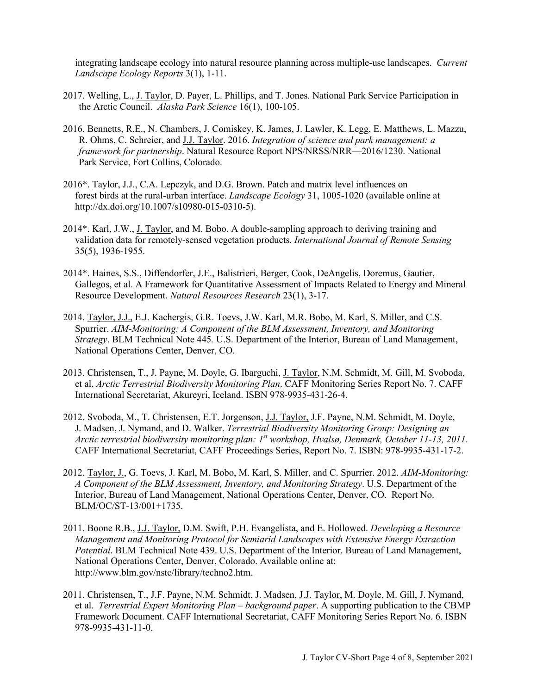integrating landscape ecology into natural resource planning across multiple-use landscapes. *Current Landscape Ecology Reports* 3(1), 1-11.

- 2017. Welling, L., J. Taylor, D. Payer, L. Phillips, and T. Jones. National Park Service Participation in the Arctic Council. *Alaska Park Science* 16(1), 100-105.
- 2016. Bennetts, R.E., N. Chambers, J. Comiskey, K. James, J. Lawler, K. Legg, E. Matthews, L. Mazzu, R. Ohms, C. Schreier, and J.J. Taylor. 2016. *Integration of science and park management: a framework for partnership*. Natural Resource Report NPS/NRSS/NRR—2016/1230. National Park Service, Fort Collins, Colorado.
- 2016\*. Taylor, J.J., C.A. Lepczyk, and D.G. Brown. Patch and matrix level influences on forest birds at the rural-urban interface. *Landscape Ecology* 31, 1005-1020 (available online at http://dx.doi.org/10.1007/s10980-015-0310-5).
- 2014\*. Karl, J.W., J. Taylor, and M. Bobo. A double-sampling approach to deriving training and validation data for remotely-sensed vegetation products. *International Journal of Remote Sensing* 35(5), 1936-1955.
- 2014\*. Haines, S.S., Diffendorfer, J.E., Balistrieri, Berger, Cook, DeAngelis, Doremus, Gautier, Gallegos, et al. A Framework for Quantitative Assessment of Impacts Related to Energy and Mineral Resource Development. *Natural Resources Research* 23(1), 3-17.
- 2014. Taylor, J.J., E.J. Kachergis, G.R. Toevs, J.W. Karl, M.R. Bobo, M. Karl, S. Miller, and C.S. Spurrier. *AIM-Monitoring: A Component of the BLM Assessment, Inventory, and Monitoring Strategy*. BLM Technical Note 445*.* U.S. Department of the Interior, Bureau of Land Management, National Operations Center, Denver, CO.
- 2013. Christensen, T., J. Payne, M. Doyle, G. Ibarguchi, J. Taylor, N.M. Schmidt, M. Gill, M. Svoboda, et al. *Arctic Terrestrial Biodiversity Monitoring Plan*. CAFF Monitoring Series Report No. 7. CAFF International Secretariat, Akureyri, Iceland. ISBN 978-9935-431-26-4.
- 2012. Svoboda, M., T. Christensen, E.T. Jorgenson, J.J. Taylor, J.F. Payne, N.M. Schmidt, M. Doyle, J. Madsen, J. Nymand, and D. Walker. *Terrestrial Biodiversity Monitoring Group: Designing an Arctic terrestrial biodiversity monitoring plan: 1st workshop, Hvalsø, Denmark, October 11-13, 2011.* CAFF International Secretariat, CAFF Proceedings Series, Report No. 7. ISBN: 978-9935-431-17-2.
- 2012. Taylor, J., G. Toevs, J. Karl, M. Bobo, M. Karl, S. Miller, and C. Spurrier. 2012. *AIM-Monitoring: A Component of the BLM Assessment, Inventory, and Monitoring Strategy*. U.S. Department of the Interior, Bureau of Land Management, National Operations Center, Denver, CO. Report No. BLM/OC/ST-13/001+1735.
- 2011. Boone R.B., J.J. Taylor, D.M. Swift, P.H. Evangelista, and E. Hollowed. *Developing a Resource Management and Monitoring Protocol for Semiarid Landscapes with Extensive Energy Extraction Potential*. BLM Technical Note 439. U.S. Department of the Interior. Bureau of Land Management, National Operations Center, Denver, Colorado. Available online at: http://www.blm.gov/nstc/library/techno2.htm.
- 2011. Christensen, T., J.F. Payne, N.M. Schmidt, J. Madsen, J.J. Taylor, M. Doyle, M. Gill, J. Nymand, et al. *Terrestrial Expert Monitoring Plan – background paper*. A supporting publication to the CBMP Framework Document. CAFF International Secretariat, CAFF Monitoring Series Report No. 6. ISBN 978-9935-431-11-0.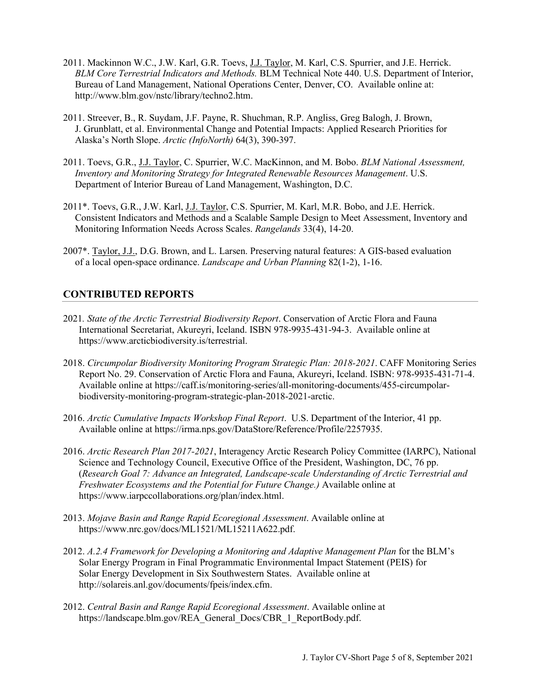- 2011. Mackinnon W.C., J.W. Karl, G.R. Toevs, J.J. Taylor, M. Karl, C.S. Spurrier, and J.E. Herrick. *BLM Core Terrestrial Indicators and Methods.* BLM Technical Note 440. U.S. Department of Interior, Bureau of Land Management, National Operations Center, Denver, CO. Available online at: http://www.blm.gov/nstc/library/techno2.htm.
- 2011. Streever, B., R. Suydam, J.F. Payne, R. Shuchman, R.P. Angliss, Greg Balogh, J. Brown, J. Grunblatt, et al. Environmental Change and Potential Impacts: Applied Research Priorities for Alaska's North Slope. *Arctic (InfoNorth)* 64(3), 390-397.
- 2011. Toevs, G.R., J.J. Taylor, C. Spurrier, W.C. MacKinnon, and M. Bobo. *BLM National Assessment, Inventory and Monitoring Strategy for Integrated Renewable Resources Management*. U.S. Department of Interior Bureau of Land Management, Washington, D.C.
- 2011\*. Toevs, G.R., J.W. Karl, J.J. Taylor, C.S. Spurrier, M. Karl, M.R. Bobo, and J.E. Herrick. Consistent Indicators and Methods and a Scalable Sample Design to Meet Assessment, Inventory and Monitoring Information Needs Across Scales. *Rangelands* 33(4), 14-20.
- 2007\*. Taylor, J.J., D.G. Brown, and L. Larsen. Preserving natural features: A GIS-based evaluation of a local open-space ordinance. *Landscape and Urban Planning* 82(1-2), 1-16.

## **CONTRIBUTED REPORTS**

- 2021*. State of the Arctic Terrestrial Biodiversity Report*. Conservation of Arctic Flora and Fauna International Secretariat, Akureyri, Iceland. ISBN 978-9935-431-94-3. Available online at https://www.arcticbiodiversity.is/terrestrial.
- 2018. *Circumpolar Biodiversity Monitoring Program Strategic Plan: 2018-2021*. CAFF Monitoring Series Report No. 29. Conservation of Arctic Flora and Fauna, Akureyri, Iceland. ISBN: 978-9935-431-71-4. Available online at https://caff.is/monitoring-series/all-monitoring-documents/455-circumpolarbiodiversity-monitoring-program-strategic-plan-2018-2021-arctic.
- 2016. *Arctic Cumulative Impacts Workshop Final Report*. U.S. Department of the Interior, 41 pp. Available online at https://irma.nps.gov/DataStore/Reference/Profile/2257935.
- 2016. *Arctic Research Plan 2017-2021*, Interagency Arctic Research Policy Committee (IARPC), National Science and Technology Council, Executive Office of the President, Washington, DC, 76 pp. (*Research Goal 7: Advance an Integrated, Landscape-scale Understanding of Arctic Terrestrial and Freshwater Ecosystems and the Potential for Future Change.)* Available online at https://www.iarpccollaborations.org/plan/index.html.
- 2013. *Mojave Basin and Range Rapid Ecoregional Assessment*. Available online at https://www.nrc.gov/docs/ML1521/ML15211A622.pdf.
- 2012. *A.2.4 Framework for Developing a Monitoring and Adaptive Management Plan* for the BLM's Solar Energy Program in Final Programmatic Environmental Impact Statement (PEIS) for Solar Energy Development in Six Southwestern States. Available online at http://solareis.anl.gov/documents/fpeis/index.cfm.
- 2012. *Central Basin and Range Rapid Ecoregional Assessment*. Available online at https://landscape.blm.gov/REA\_General\_Docs/CBR\_1\_ReportBody.pdf.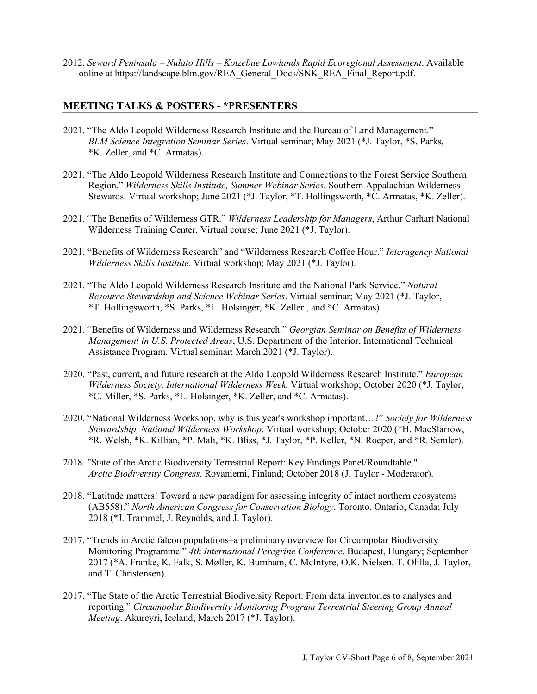2012. *Seward Peninsula – Nulato Hills – Kotzebue Lowlands Rapid Ecoregional Assessment*. Available online at https://landscape.blm.gov/REA\_General\_Docs/SNK\_REA\_Final\_Report.pdf.

### **MEETING TALKS & POSTERS - \*PRESENTERS**

- 2021. "The Aldo Leopold Wilderness Research Institute and the Bureau of Land Management." *BLM Science Integration Seminar Series*. Virtual seminar; May 2021 (\*J. Taylor, \*S. Parks, \*K. Zeller, and \*C. Armatas).
- 2021. "The Aldo Leopold Wilderness Research Institute and Connections to the Forest Service Southern Region." *Wilderness Skills Institute, Summer Webinar Series*, Southern Appalachian Wilderness Stewards. Virtual workshop; June 2021 (\*J. Taylor, \*T. Hollingsworth, \*C. Armatas, \*K. Zeller).
- 2021. "The Benefits of Wilderness GTR." *Wilderness Leadership for Managers*, Arthur Carhart National Wilderness Training Center. Virtual course; June 2021 (\*J. Taylor).
- 2021. "Benefits of Wilderness Research" and "Wilderness Research Coffee Hour." *Interagency National Wilderness Skills Institute*. Virtual workshop; May 2021 (\*J. Taylor).
- 2021. "The Aldo Leopold Wilderness Research Institute and the National Park Service." *Natural Resource Stewardship and Science Webinar Series*. Virtual seminar; May 2021 (\*J. Taylor, \*T. Hollingsworth, \*S. Parks, \*L. Holsinger, \*K. Zeller , and \*C. Armatas).
- 2021. "Benefits of Wilderness and Wilderness Research." *Georgian Seminar on Benefits of Wilderness Management in U.S. Protected Areas*, U.S. Department of the Interior, International Technical Assistance Program. Virtual seminar; March 2021 (\*J. Taylor).
- 2020. "Past, current, and future research at the Aldo Leopold Wilderness Research Institute." *European Wilderness Society, International Wilderness Week.* Virtual workshop; October 2020 (\*J. Taylor, \*C. Miller, \*S. Parks, \*L. Holsinger, \*K. Zeller, and \*C. Armatas).
- 2020. "National Wilderness Workshop, why is this year's workshop important…?" *Society for Wilderness Stewardship, National Wilderness Workshop*. Virtual workshop; October 2020 (\*H. MacSlarrow, \*R. Welsh, \*K. Killian, \*P. Mali, \*K. Bliss, \*J. Taylor, \*P. Keller, \*N. Roeper, and \*R. Semler).
- 2018. "State of the Arctic Biodiversity Terrestrial Report: Key Findings Panel/Roundtable." *Arctic Biodiversity Congress*. Rovaniemi, Finland; October 2018 (J. Taylor - Moderator).
- 2018. "Latitude matters! Toward a new paradigm for assessing integrity of intact northern ecosystems (AB558)." *North American Congress for Conservation Biology*. Toronto, Ontario, Canada; July 2018 (\*J. Trammel, J. Reynolds, and J. Taylor).
- 2017. "Trends in Arctic falcon populations–a preliminary overview for Circumpolar Biodiversity Monitoring Programme." *4th International Peregrine Conference*. Budapest, Hungary; September 2017 (\*A. Franke, K. Falk, S. Møller, K. Burnham, C. McIntyre, O.K. Nielsen, T. Olilla, J. Taylor, and T. Christensen).
- 2017. "The State of the Arctic Terrestrial Biodiversity Report: From data inventories to analyses and reporting." *Circumpolar Biodiversity Monitoring Program Terrestrial Steering Group Annual Meeting*. Akureyri, Iceland; March 2017 (\*J. Taylor).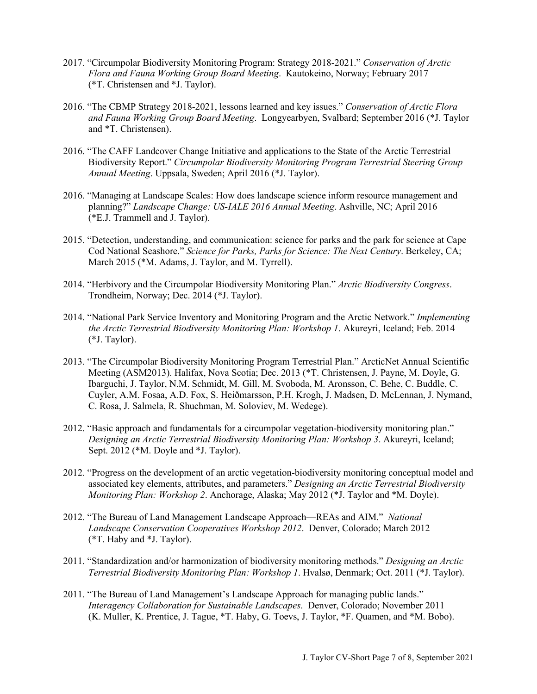- 2017. "Circumpolar Biodiversity Monitoring Program: Strategy 2018-2021." *Conservation of Arctic Flora and Fauna Working Group Board Meeting*. Kautokeino, Norway; February 2017 (\*T. Christensen and \*J. Taylor).
- 2016. "The CBMP Strategy 2018-2021, lessons learned and key issues." *Conservation of Arctic Flora and Fauna Working Group Board Meeting*. Longyearbyen, Svalbard; September 2016 (\*J. Taylor and \*T. Christensen).
- 2016. "The CAFF Landcover Change Initiative and applications to the State of the Arctic Terrestrial Biodiversity Report." *Circumpolar Biodiversity Monitoring Program Terrestrial Steering Group Annual Meeting*. Uppsala, Sweden; April 2016 (\*J. Taylor).
- 2016. "Managing at Landscape Scales: How does landscape science inform resource management and planning?" *Landscape Change: US-IALE 2016 Annual Meeting*. Ashville, NC; April 2016 (\*E.J. Trammell and J. Taylor).
- 2015. "Detection, understanding, and communication: science for parks and the park for science at Cape Cod National Seashore." *Science for Parks, Parks for Science: The Next Century*. Berkeley, CA; March 2015 (\*M. Adams, J. Taylor, and M. Tyrrell).
- 2014. "Herbivory and the Circumpolar Biodiversity Monitoring Plan." *Arctic Biodiversity Congress*. Trondheim, Norway; Dec. 2014 (\*J. Taylor).
- 2014. "National Park Service Inventory and Monitoring Program and the Arctic Network." *Implementing the Arctic Terrestrial Biodiversity Monitoring Plan: Workshop 1*. Akureyri, Iceland; Feb. 2014 (\*J. Taylor).
- 2013. "The Circumpolar Biodiversity Monitoring Program Terrestrial Plan." ArcticNet Annual Scientific Meeting (ASM2013). Halifax, Nova Scotia; Dec. 2013 (\*T. Christensen, J. Payne, M. Doyle, G. Ibarguchi, J. Taylor, N.M. Schmidt, M. Gill, M. Svoboda, M. Aronsson, C. Behe, C. Buddle, C. Cuyler, A.M. Fosaa, A.D. Fox, S. Heiðmarsson, P.H. Krogh, J. Madsen, D. McLennan, J. Nymand, C. Rosa, J. Salmela, R. Shuchman, M. Soloviev, M. Wedege).
- 2012. "Basic approach and fundamentals for a circumpolar vegetation-biodiversity monitoring plan." *Designing an Arctic Terrestrial Biodiversity Monitoring Plan: Workshop 3*. Akureyri, Iceland; Sept. 2012 (\*M. Doyle and \*J. Taylor).
- 2012. "Progress on the development of an arctic vegetation-biodiversity monitoring conceptual model and associated key elements, attributes, and parameters." *Designing an Arctic Terrestrial Biodiversity Monitoring Plan: Workshop 2*. Anchorage, Alaska; May 2012 (\*J. Taylor and \*M. Doyle).
- 2012. "The Bureau of Land Management Landscape Approach—REAs and AIM." *National Landscape Conservation Cooperatives Workshop 2012*. Denver, Colorado; March 2012 (\*T. Haby and \*J. Taylor).
- 2011. "Standardization and/or harmonization of biodiversity monitoring methods." *Designing an Arctic Terrestrial Biodiversity Monitoring Plan: Workshop 1*. Hvalsø, Denmark; Oct. 2011 (\*J. Taylor).
- 2011. "The Bureau of Land Management's Landscape Approach for managing public lands." *Interagency Collaboration for Sustainable Landscapes*. Denver, Colorado; November 2011 (K. Muller, K. Prentice, J. Tague, \*T. Haby, G. Toevs, J. Taylor, \*F. Quamen, and \*M. Bobo).